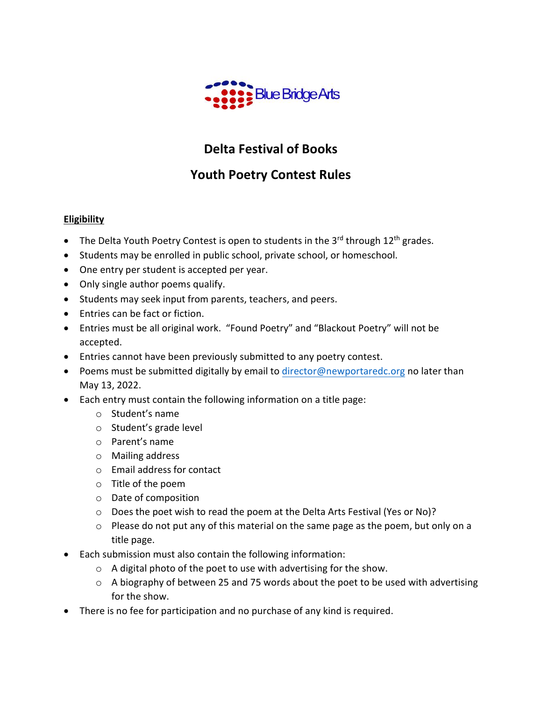

# **Delta Festival of Books**

## **Youth Poetry Contest Rules**

## **Eligibility**

- The Delta Youth Poetry Contest is open to students in the 3<sup>rd</sup> through 12<sup>th</sup> grades.
- Students may be enrolled in public school, private school, or homeschool.
- One entry per student is accepted per year.
- Only single author poems qualify.
- Students may seek input from parents, teachers, and peers.
- Entries can be fact or fiction.
- Entries must be all original work. "Found Poetry" and "Blackout Poetry" will not be accepted.
- Entries cannot have been previously submitted to any poetry contest.
- Poems must be submitted digitally by email to [director@newportaredc.org](mailto:director@newportaredc.org) no later than May 13, 2022.
- Each entry must contain the following information on a title page:
	- o Student's name
	- o Student's grade level
	- o Parent's name
	- o Mailing address
	- o Email address for contact
	- o Title of the poem
	- o Date of composition
	- o Does the poet wish to read the poem at the Delta Arts Festival (Yes or No)?
	- o Please do not put any of this material on the same page as the poem, but only on a title page.
- Each submission must also contain the following information:
	- $\circ$  A digital photo of the poet to use with advertising for the show.
	- o A biography of between 25 and 75 words about the poet to be used with advertising for the show.
- There is no fee for participation and no purchase of any kind is required.